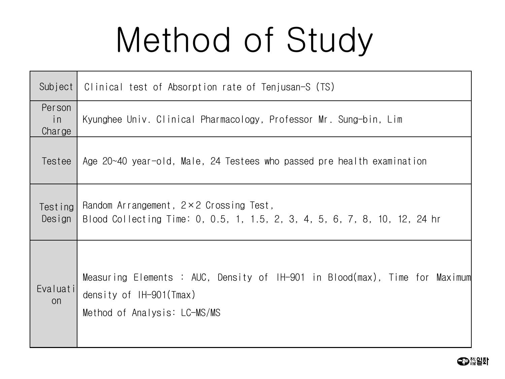## Method of Study

| Subject                | Clinical test of Absorption rate of Tenjusan-S (TS)                                                                                    |
|------------------------|----------------------------------------------------------------------------------------------------------------------------------------|
| Person<br>in<br>Charge | Kyunghee Univ. Clinical Pharmacology, Professor Mr. Sung-bin, Lim                                                                      |
| Testee                 | Age 20~40 year-old, Male, 24 Testees who passed pre health examination                                                                 |
| Testing<br>Design      | Random Arrangement, $2 \times 2$ Crossing Test,<br>Blood Collecting Time: 0, 0.5, 1, 1.5, 2, 3, 4, 5, 6, 7, 8, 10, 12, 24 hr           |
| Evaluati<br><b>on</b>  | Measuring Elements : AUC, Density of IH-901 in Blood(max), Time for Maximum<br>density of IH-901(Tmax)<br>Method of Analysis: LC-MS/MS |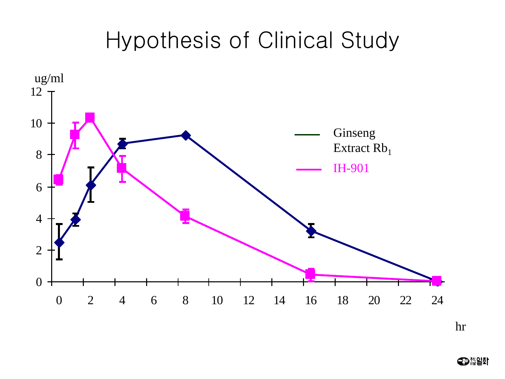## Hypothesis of Clinical Study



hr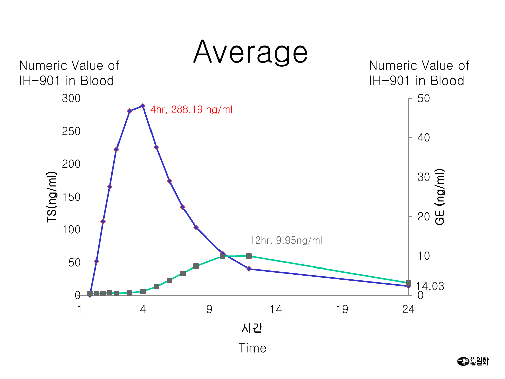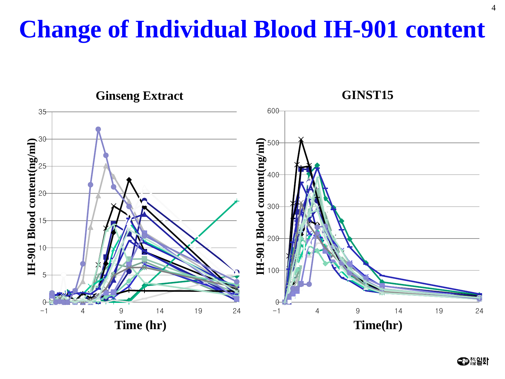## **Change of Individual Blood IH-901 content**